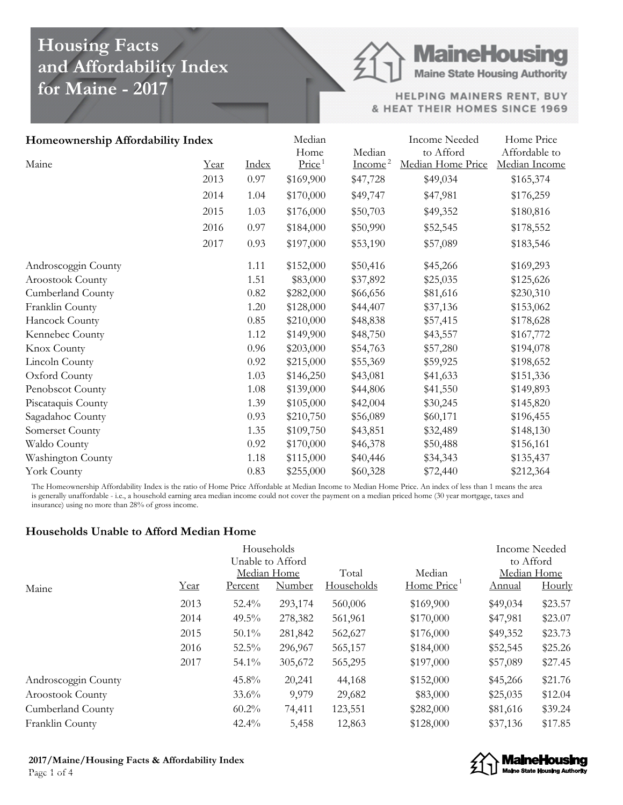## **Housing Facts and Affordability Index for Maine - 2017**

# **MaineHousing**

**Maine State Housing Authority** 

HELPING MAINERS RENT, BUY & HEAT THEIR HOMES SINCE 1969

| Homeownership Affordability Index |      |       | Median<br>Home     | Median    | <b>Income Needed</b><br>to Afford | Home Price<br>Affordable to |
|-----------------------------------|------|-------|--------------------|-----------|-----------------------------------|-----------------------------|
| Maine                             | Year | Index | Price <sup>1</sup> | $Income2$ | Median Home Price                 | Median Income               |
|                                   | 2013 | 0.97  | \$169,900          | \$47,728  | \$49,034                          | \$165,374                   |
|                                   | 2014 | 1.04  | \$170,000          | \$49,747  | \$47,981                          | \$176,259                   |
|                                   | 2015 | 1.03  | \$176,000          | \$50,703  | \$49,352                          | \$180,816                   |
|                                   | 2016 | 0.97  | \$184,000          | \$50,990  | \$52,545                          | \$178,552                   |
|                                   | 2017 | 0.93  | \$197,000          | \$53,190  | \$57,089                          | \$183,546                   |
| Androscoggin County               |      | 1.11  | \$152,000          | \$50,416  | \$45,266                          | \$169,293                   |
| Aroostook County                  |      | 1.51  | \$83,000           | \$37,892  | \$25,035                          | \$125,626                   |
| Cumberland County                 |      | 0.82  | \$282,000          | \$66,656  | \$81,616                          | \$230,310                   |
| Franklin County                   |      | 1.20  | \$128,000          | \$44,407  | \$37,136                          | \$153,062                   |
| Hancock County                    |      | 0.85  | \$210,000          | \$48,838  | \$57,415                          | \$178,628                   |
| Kennebec County                   |      | 1.12  | \$149,900          | \$48,750  | \$43,557                          | \$167,772                   |
| Knox County                       |      | 0.96  | \$203,000          | \$54,763  | \$57,280                          | \$194,078                   |
| Lincoln County                    |      | 0.92  | \$215,000          | \$55,369  | \$59,925                          | \$198,652                   |
| Oxford County                     |      | 1.03  | \$146,250          | \$43,081  | \$41,633                          | \$151,336                   |
| Penobscot County                  |      | 1.08  | \$139,000          | \$44,806  | \$41,550                          | \$149,893                   |
| Piscataquis County                |      | 1.39  | \$105,000          | \$42,004  | \$30,245                          | \$145,820                   |
| Sagadahoc County                  |      | 0.93  | \$210,750          | \$56,089  | \$60,171                          | \$196,455                   |
| Somerset County                   |      | 1.35  | \$109,750          | \$43,851  | \$32,489                          | \$148,130                   |
| Waldo County                      |      | 0.92  | \$170,000          | \$46,378  | \$50,488                          | \$156,161                   |
| Washington County                 |      | 1.18  | \$115,000          | \$40,446  | \$34,343                          | \$135,437                   |
| York County                       |      | 0.83  | \$255,000          | \$60,328  | \$72,440                          | \$212,364                   |

The Homeownership Affordability Index is the ratio of Home Price Affordable at Median Income to Median Home Price. An index of less than 1 means the area is generally unaffordable - i.e., a household earning area median income could not cover the payment on a median priced home (30 year mortgage, taxes and insurance) using no more than 28% of gross income.

#### **Households Unable to Afford Median Home**

|                         |      |                  | Households    |                   |            | <b>Income Needed</b> |             |  |
|-------------------------|------|------------------|---------------|-------------------|------------|----------------------|-------------|--|
|                         |      | Unable to Afford |               |                   |            |                      |             |  |
|                         |      |                  | Median Home   | Total             | Median     |                      | Median Home |  |
| Maine                   | Year | Percent          | <b>Number</b> | <b>Households</b> | Home Price | Annual               | Hourly      |  |
|                         | 2013 | $52.4\%$         | 293,174       | 560,006           | \$169,900  | \$49,034             | \$23.57     |  |
|                         | 2014 | $49.5\%$         | 278,382       | 561,961           | \$170,000  | \$47,981             | \$23.07     |  |
|                         | 2015 | $50.1\%$         | 281,842       | 562,627           | \$176,000  | \$49,352             | \$23.73     |  |
|                         | 2016 | $52.5\%$         | 296,967       | 565,157           | \$184,000  | \$52,545             | \$25.26     |  |
|                         | 2017 | $54.1\%$         | 305,672       | 565,295           | \$197,000  | \$57,089             | \$27.45     |  |
| Androscoggin County     |      | $45.8\%$         | 20,241        | 44,168            | \$152,000  | \$45,266             | \$21.76     |  |
| <b>Aroostook County</b> |      | $33.6\%$         | 9,979         | 29,682            | \$83,000   | \$25,035             | \$12.04     |  |
| Cumberland County       |      | $60.2\%$         | 74,411        | 123,551           | \$282,000  | \$81,616             | \$39.24     |  |
| Franklin County         |      | 42.4%            | 5,458         | 12,863            | \$128,000  | \$37,136             | \$17.85     |  |



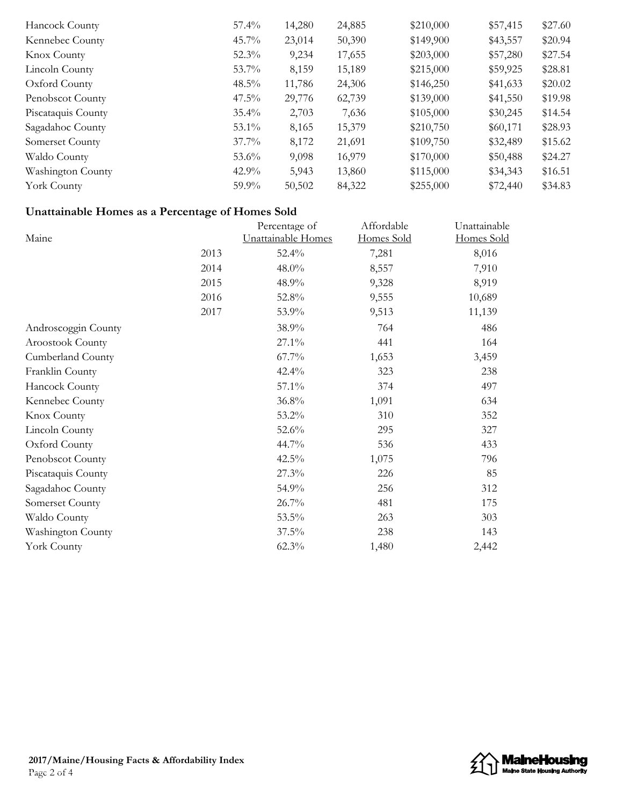| Hancock County     | $57.4\%$ | 14,280 | 24,885 | \$210,000 | \$57,415 | \$27.60 |
|--------------------|----------|--------|--------|-----------|----------|---------|
| Kennebec County    | $45.7\%$ | 23,014 | 50,390 | \$149,900 | \$43,557 | \$20.94 |
| <b>Knox County</b> | $52.3\%$ | 9,234  | 17,655 | \$203,000 | \$57,280 | \$27.54 |
| Lincoln County     | $53.7\%$ | 8,159  | 15,189 | \$215,000 | \$59,925 | \$28.81 |
| Oxford County      | $48.5\%$ | 11,786 | 24,306 | \$146,250 | \$41,633 | \$20.02 |
| Penobscot County   | $47.5\%$ | 29,776 | 62,739 | \$139,000 | \$41,550 | \$19.98 |
| Piscataquis County | $35.4\%$ | 2,703  | 7,636  | \$105,000 | \$30,245 | \$14.54 |
| Sagadahoc County   | $53.1\%$ | 8,165  | 15,379 | \$210,750 | \$60,171 | \$28.93 |
| Somerset County    | $37.7\%$ | 8,172  | 21,691 | \$109,750 | \$32,489 | \$15.62 |
| Waldo County       | $53.6\%$ | 9,098  | 16,979 | \$170,000 | \$50,488 | \$24.27 |
| Washington County  | $42.9\%$ | 5,943  | 13,860 | \$115,000 | \$34,343 | \$16.51 |
| York County        | $59.9\%$ | 50,502 | 84,322 | \$255,000 | \$72,440 | \$34.83 |

### **Unattainable Homes as a Percentage of Homes Sold**

| Maine               |      | Percentage of<br>Unattainable Homes | Affordable<br><u>Homes Sold</u> | Unattainable<br>Homes Sold |
|---------------------|------|-------------------------------------|---------------------------------|----------------------------|
|                     | 2013 | 52.4%                               | 7,281                           | 8,016                      |
|                     | 2014 | 48.0%                               | 8,557                           | 7,910                      |
|                     | 2015 | 48.9%                               | 9,328                           | 8,919                      |
|                     | 2016 | 52.8%                               | 9,555                           | 10,689                     |
|                     | 2017 | 53.9%                               | 9,513                           | 11,139                     |
| Androscoggin County |      | 38.9%                               | 764                             | 486                        |
| Aroostook County    |      | 27.1%                               | 441                             | 164                        |
| Cumberland County   |      | 67.7%                               | 1,653                           | 3,459                      |
| Franklin County     |      | 42.4%                               | 323                             | 238                        |
| Hancock County      |      | 57.1%                               | 374                             | 497                        |
| Kennebec County     |      | 36.8%                               | 1,091                           | 634                        |
| Knox County         |      | 53.2%                               | 310                             | 352                        |
| Lincoln County      |      | 52.6%                               | 295                             | 327                        |
| Oxford County       |      | 44.7%                               | 536                             | 433                        |
| Penobscot County    |      | 42.5%                               | 1,075                           | 796                        |
| Piscataquis County  |      | 27.3%                               | 226                             | 85                         |
| Sagadahoc County    |      | 54.9%                               | 256                             | 312                        |
| Somerset County     |      | 26.7%                               | 481                             | 175                        |
| Waldo County        |      | 53.5%                               | 263                             | 303                        |
| Washington County   |      | 37.5%                               | 238                             | 143                        |
| York County         |      | 62.3%                               | 1,480                           | 2,442                      |
|                     |      |                                     |                                 |                            |

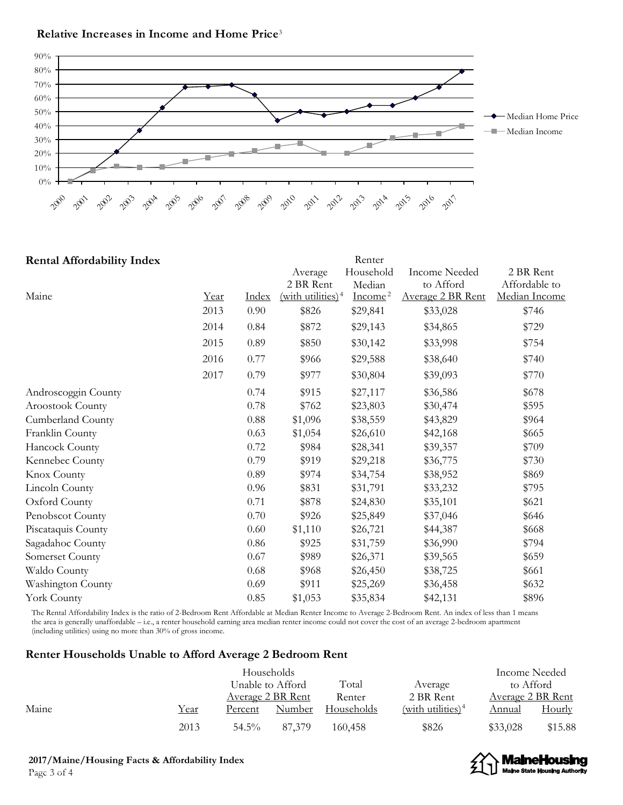#### **Relative Increases in Income and Home Price** 3



| <b>Rental Affordability Index</b> |      |              |                                 | Renter    |                      |               |
|-----------------------------------|------|--------------|---------------------------------|-----------|----------------------|---------------|
|                                   |      |              | Average                         | Household | <b>Income Needed</b> | 2 BR Rent     |
|                                   |      |              | 2 BR Rent                       | Median    | to Afford            | Affordable to |
| Maine                             | Year | <b>Index</b> | $(with$ utilities) <sup>4</sup> | $Income2$ | Average 2 BR Rent    | Median Income |
|                                   | 2013 | 0.90         | \$826                           | \$29,841  | \$33,028             | \$746         |
|                                   | 2014 | 0.84         | \$872                           | \$29,143  | \$34,865             | \$729         |
|                                   | 2015 | 0.89         | \$850                           | \$30,142  | \$33,998             | \$754         |
|                                   | 2016 | 0.77         | \$966                           | \$29,588  | \$38,640             | \$740         |
|                                   | 2017 | 0.79         | \$977                           | \$30,804  | \$39,093             | \$770         |
| Androscoggin County               |      | 0.74         | \$915                           | \$27,117  | \$36,586             | \$678         |
| Aroostook County                  |      | 0.78         | \$762                           | \$23,803  | \$30,474             | \$595         |
| Cumberland County                 |      | 0.88         | \$1,096                         | \$38,559  | \$43,829             | \$964         |
| Franklin County                   |      | 0.63         | \$1,054                         | \$26,610  | \$42,168             | \$665         |
| Hancock County                    |      | 0.72         | \$984                           | \$28,341  | \$39,357             | \$709         |
| Kennebec County                   |      | 0.79         | \$919                           | \$29,218  | \$36,775             | \$730         |
| Knox County                       |      | 0.89         | \$974                           | \$34,754  | \$38,952             | \$869         |
| Lincoln County                    |      | 0.96         | \$831                           | \$31,791  | \$33,232             | \$795         |
| Oxford County                     |      | 0.71         | \$878                           | \$24,830  | \$35,101             | \$621         |
| Penobscot County                  |      | 0.70         | \$926                           | \$25,849  | \$37,046             | \$646         |
| Piscataquis County                |      | 0.60         | \$1,110                         | \$26,721  | \$44,387             | \$668         |
| Sagadahoc County                  |      | 0.86         | \$925                           | \$31,759  | \$36,990             | \$794         |
| Somerset County                   |      | 0.67         | \$989                           | \$26,371  | \$39,565             | \$659         |
| Waldo County                      |      | 0.68         | \$968                           | \$26,450  | \$38,725             | \$661         |
| Washington County                 |      | 0.69         | \$911                           | \$25,269  | \$36,458             | \$632         |
| York County                       |      | 0.85         | \$1,053                         | \$35,834  | \$42,131             | \$896         |

The Rental Affordability Index is the ratio of 2-Bedroom Rent Affordable at Median Renter Income to Average 2-Bedroom Rent. An index of less than 1 means the area is generally unaffordable – i.e., a renter household earning area median renter income could not cover the cost of an average 2-bedroom apartment (including utilities) using no more than 30% of gross income.

#### **Renter Households Unable to Afford Average 2 Bedroom Rent**

|       |      |          | Households        |            |                      |          | Income Needed            |
|-------|------|----------|-------------------|------------|----------------------|----------|--------------------------|
|       |      |          | Unable to Afford  | Total      | Average              |          | to Afford                |
|       |      |          | Average 2 BR Rent | Renter     | 2 BR Rent            |          | <u>Average 2 BR Rent</u> |
| Maine | Year | Percent  | Number            | Households | (with utilities) $4$ | Annual   | <b>Hourly</b>            |
|       | 2013 | $54.5\%$ | 87.379            | 160,458    | \$826                | \$33,028 | \$15.88                  |